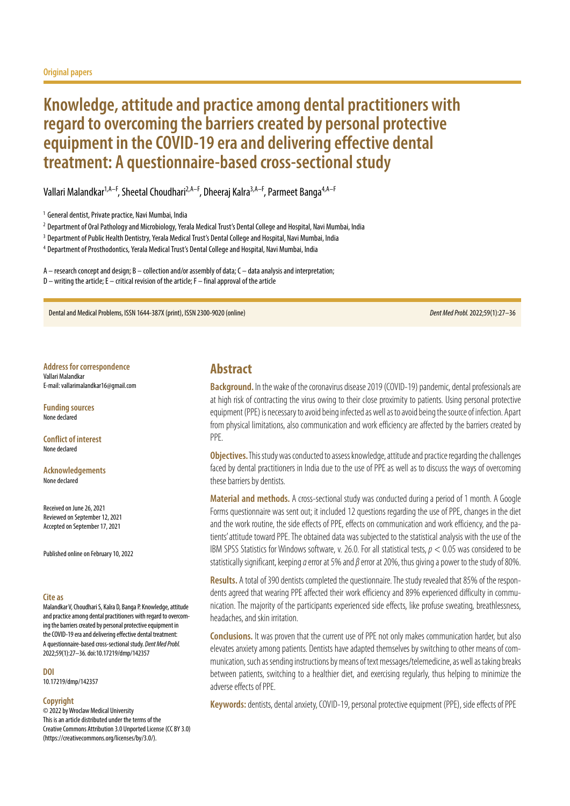# **Knowledge, attitude and practice among dental practitioners with regard to overcoming the barriers created by personal protective equipment in the COVID-19 era and delivering effective dental treatment: A questionnaire-based cross-sectional study**

Vallari Malandkar<sup>1,A–F</sup>, Sheetal Choudhari<sup>2,A–F</sup>, Dheeraj Kalra<sup>3,A–F</sup>, Parmeet Banga<sup>4,A–F</sup>

<sup>2</sup> Department of Oral Pathology and Microbiology, Yerala Medical Trust's Dental College and Hospital, Navi Mumbai, India

<sup>3</sup> Department of Public Health Dentistry, Yerala Medical Trust's Dental College and Hospital, Navi Mumbai, India

<sup>4</sup> Department of Prosthodontics, Yerala Medical Trust's Dental College and Hospital, Navi Mumbai, India

 $A$  – research concept and design;  $B$  – collection and/or assembly of data;  $C$  – data analysis and interpretation;  $D$  – writing the article; E – critical revision of the article; F – final approval of the article

Dental and Medical Problems, ISSN 1644-387X (print), ISSN 2300-9020 (online) *Dent Med Probl.* 2022;59(1):27–36

**Address for correspondence** Vallari Malandkar E-mail: vallarimalandkar16@gmail.com

**Funding sources** None declared

**Conflict of interest** None declared

**Acknowledgements** None declared

Received on June 26, 2021 Reviewed on September 12, 2021 Accepted on September 17, 2021

Published online on February 10, 2022

#### **Cite as**

Malandkar V, Choudhari S, Kalra D, Banga P. Knowledge, attitude and practice among dental practitioners with regard to overcoming the barriers created by personal protective equipment in the COVID-19 era and delivering effective dental treatment: A questionnaire-based cross-sectional study. *Dent Med Probl.* 2022;59(1):27–36. doi:10.17219/dmp/142357

#### **DOI**

10.17219/dmp/142357

#### **Copyright**

© 2022 by Wroclaw Medical University This is an article distributed under the terms of the Creative Commons Attribution 3.0 Unported License (CC BY 3.0) [\(https://creativecommons.org/licenses/by/3.0/\)](https://creativecommons.org/licenses/by/3.0/).

## **Abstract**

**Background.** In the wake of the coronavirus disease 2019 (COVID-19) pandemic, dental professionals are at high risk of contracting the virus owing to their close proximity to patients. Using personal protective equipment (PPE) is necessary to avoid being infected as well as to avoid being the source of infection. Apart from physical limitations, also communication and work efficiency are affected by the barriers created by PPE.

**Objectives.** This study was conducted to assess knowledge, attitude and practice regarding the challenges faced by dental practitioners in India due to the use of PPE as well as to discuss the ways of overcoming these barriers by dentists.

**Material and methods.** A cross-sectional study was conducted during a period of 1 month. A Google Forms questionnaire was sent out; it included 12 questions regarding the use of PPE, changes in the diet and the work routine, the side effects of PPE, effects on communication and work efficiency, and the patients' attitude toward PPE. The obtained data was subjected to the statistical analysis with the use of the IBM SPSS Statistics for Windows software, v. 26.0. For all statistical tests, *p* < 0.05 was considered to be statistically significant, keeping *α* error at 5% and *β* error at 20%, thus giving a power to the study of 80%.

**Results.** A total of 390 dentists completed the questionnaire. The study revealed that 85% of the respondents agreed that wearing PPE affected their work efficiency and 89% experienced difficulty in communication. The majority of the participants experienced side effects, like profuse sweating, breathlessness, headaches, and skin irritation.

**Conclusions.** It was proven that the current use of PPE not only makes communication harder, but also elevates anxiety among patients. Dentists have adapted themselves by switching to other means of communication, such as sending instructions by means of text messages/telemedicine, as well as taking breaks between patients, switching to a healthier diet, and exercising regularly, thus helping to minimize the adverse effects of PPE.

**Keywords:** dentists, dental anxiety, COVID-19, personal protective equipment (PPE), side effects of PPE

<sup>&</sup>lt;sup>1</sup> General dentist, Private practice, Navi Mumbai, India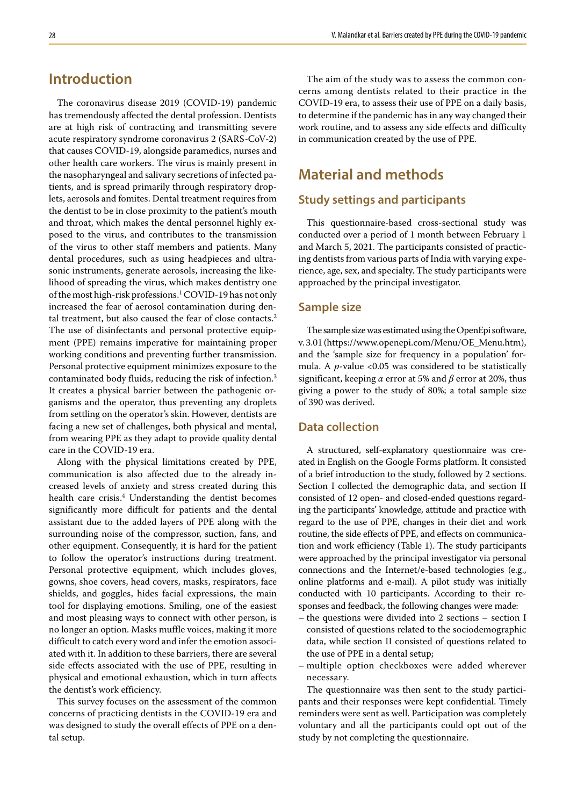## **Introduction**

The coronavirus disease 2019 (COVID-19) pandemic has tremendously affected the dental profession. Dentists are at high risk of contracting and transmitting severe acute respiratory syndrome coronavirus 2 (SARS-CoV-2) that causes COVID-19, alongside paramedics, nurses and other health care workers. The virus is mainly present in the nasopharyngeal and salivary secretions of infected patients, and is spread primarily through respiratory droplets, aerosols and fomites. Dental treatment requires from the dentist to be in close proximity to the patient's mouth and throat, which makes the dental personnel highly exposed to the virus, and contributes to the transmission of the virus to other staff members and patients. Many dental procedures, such as using headpieces and ultrasonic instruments, generate aerosols, increasing the likelihood of spreading the virus, which makes dentistry one of the most high-risk professions.<sup>1</sup> COVID-19 has not only increased the fear of aerosol contamination during dental treatment, but also caused the fear of close contacts.<sup>2</sup> The use of disinfectants and personal protective equipment (PPE) remains imperative for maintaining proper working conditions and preventing further transmission. Personal protective equipment minimizes exposure to the contaminated body fluids, reducing the risk of infection.<sup>3</sup> It creates a physical barrier between the pathogenic organisms and the operator, thus preventing any droplets from settling on the operator's skin. However, dentists are facing a new set of challenges, both physical and mental, from wearing PPE as they adapt to provide quality dental care in the COVID-19 era.

Along with the physical limitations created by PPE, communication is also affected due to the already increased levels of anxiety and stress created during this health care crisis.<sup>4</sup> Understanding the dentist becomes significantly more difficult for patients and the dental assistant due to the added layers of PPE along with the surrounding noise of the compressor, suction, fans, and other equipment. Consequently, it is hard for the patient to follow the operator's instructions during treatment. Personal protective equipment, which includes gloves, gowns, shoe covers, head covers, masks, respirators, face shields, and goggles, hides facial expressions, the main tool for displaying emotions. Smiling, one of the easiest and most pleasing ways to connect with other person, is no longer an option. Masks muffle voices, making it more difficult to catch every word and infer the emotion associated with it. In addition to these barriers, there are several side effects associated with the use of PPE, resulting in physical and emotional exhaustion, which in turn affects the dentist's work efficiency.

This survey focuses on the assessment of the common concerns of practicing dentists in the COVID-19 era and was designed to study the overall effects of PPE on a dental setup.

The aim of the study was to assess the common concerns among dentists related to their practice in the COVID-19 era, to assess their use of PPE on a daily basis, to determine if the pandemic has in any way changed their work routine, and to assess any side effects and difficulty in communication created by the use of PPE.

## **Material and methods**

## **Study settings and participants**

This questionnaire-based cross-sectional study was conducted over a period of 1 month between February 1 and March 5, 2021. The participants consisted of practicing dentists from various parts of India with varying experience, age, sex, and specialty. The study participants were approached by the principal investigator.

### **Sample size**

The sample size was estimated using the OpenEpi software, v. 3.01 ([https://www.openepi.com/Menu/OE\\_Menu.htm](https://www.openepi.com/Menu/OE_Menu.htm)), and the 'sample size for frequency in a population' formula. A *p*-value <0.05 was considered to be statistically significant, keeping *α* error at 5% and *β* error at 20%, thus giving a power to the study of 80%; a total sample size of 390 was derived.

### **Data collection**

A structured, self-explanatory questionnaire was created in English on the Google Forms platform. It consisted of a brief introduction to the study, followed by 2 sections. Section I collected the demographic data, and section II consisted of 12 open- and closed-ended questions regarding the participants' knowledge, attitude and practice with regard to the use of PPE, changes in their diet and work routine, the side effects of PPE, and effects on communication and work efficiency (Table 1). The study participants were approached by the principal investigator via personal connections and the Internet/e-based technologies (e.g., online platforms and e-mail). A pilot study was initially conducted with 10 participants. According to their responses and feedback, the following changes were made:

- the questions were divided into 2 sections section I consisted of questions related to the sociodemographic data, while section II consisted of questions related to the use of PPE in a dental setup;
- multiple option checkboxes were added wherever necessary.

The questionnaire was then sent to the study participants and their responses were kept confidential. Timely reminders were sent as well. Participation was completely voluntary and all the participants could opt out of the study by not completing the questionnaire.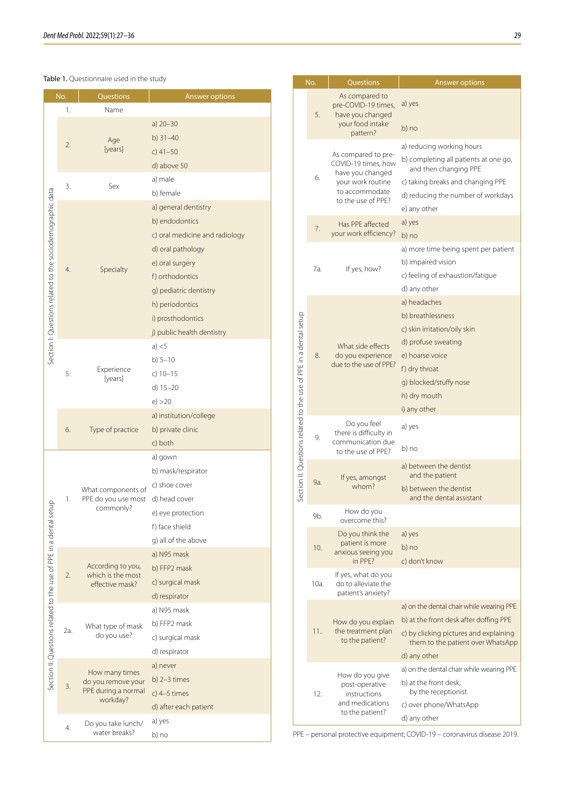#### Table 1. Questionnaire used in the study

|                                                               | No. | Questions                                                               | Answer options                                                                                                                                                                                                                      |  |  |  |  |  |
|---------------------------------------------------------------|-----|-------------------------------------------------------------------------|-------------------------------------------------------------------------------------------------------------------------------------------------------------------------------------------------------------------------------------|--|--|--|--|--|
|                                                               | 1.  | Name                                                                    |                                                                                                                                                                                                                                     |  |  |  |  |  |
|                                                               | 2.  | Age<br>[years]                                                          | a) $20 - 30$<br>b) $31 - 40$<br>c) $41 - 50$<br>d) above 50                                                                                                                                                                         |  |  |  |  |  |
|                                                               | 3.  | Sex                                                                     | a) male<br>b) female                                                                                                                                                                                                                |  |  |  |  |  |
| Section I: Questions related to the sociodemographic data     | 4.  | Specialty                                                               | a) general dentistry<br>b) endodontics<br>c) oral medicine and radiology<br>d) oral pathology<br>e) oral surgery<br>f) orthodontics<br>g) pediatric dentistry<br>h) periodontics<br>i) prosthodontics<br>j) public health dentistry |  |  |  |  |  |
|                                                               | 5.  | Experience<br>[years]                                                   | a) $<$ 5<br>b) $5 - 10$<br>c) $10 - 15$<br>d) $15-20$<br>e) > 20                                                                                                                                                                    |  |  |  |  |  |
|                                                               | 6.  | Type of practice                                                        | a) institution/college<br>b) private clinic<br>c) both                                                                                                                                                                              |  |  |  |  |  |
| setup                                                         | 1.  | What components of<br>PPE do you use most<br>commonly?                  | a) gown<br>b) mask/respirator<br>c) shoe cover<br>d) head cover<br>e) eye protection<br>f) face shield<br>g) all of the above                                                                                                       |  |  |  |  |  |
| Section II: Questions related to the use of PPE in a dental s | 2.  | According to you,<br>which is the most<br>effective mask?               | a) N95 mask<br>b) FFP2 mask<br>c) surgical mask<br>d) respirator                                                                                                                                                                    |  |  |  |  |  |
|                                                               | 2a. | What type of mask<br>do you use?                                        | a) N95 mask<br>b) FFP2 mask<br>c) surgical mask<br>d) respirator                                                                                                                                                                    |  |  |  |  |  |
|                                                               | 3.  | How many times<br>do you remove your<br>PPE during a normal<br>workday? | a) never<br>b) $2-3$ times<br>c) $4-5$ times<br>d) after each patient                                                                                                                                                               |  |  |  |  |  |
|                                                               | 4.  | Do you take lunch/<br>water breaks?                                     | a) yes<br>b) no                                                                                                                                                                                                                     |  |  |  |  |  |

|                                                                   | No.  | Questions                                                                                                                   | Answer options                                                                                                                                                                         |  |  |  |  |  |
|-------------------------------------------------------------------|------|-----------------------------------------------------------------------------------------------------------------------------|----------------------------------------------------------------------------------------------------------------------------------------------------------------------------------------|--|--|--|--|--|
|                                                                   | 5.   | As compared to<br>pre-COVID-19 times,<br>have you changed<br>your food intake<br>pattern?                                   | a) yes<br>b) no                                                                                                                                                                        |  |  |  |  |  |
|                                                                   | 6.   | As compared to pre-<br>COVID-19 times, how<br>have you changed<br>your work routine<br>to accommodate<br>to the use of PPE? | a) reducing working hours<br>b) completing all patients at one go,<br>and then changing PPE<br>c) taking breaks and changing PPE<br>d) reducing the number of workdays<br>e) any other |  |  |  |  |  |
| Section II: Questions related to the use of PPE in a dental setup | 7.   | Has PPE affected<br>your work efficiency?                                                                                   | a) yes<br>b) no                                                                                                                                                                        |  |  |  |  |  |
|                                                                   | 7а.  | If yes, how?                                                                                                                | a) more time being spent per patient<br>b) impaired vision<br>c) feeling of exhaustion/fatique<br>d) any other                                                                         |  |  |  |  |  |
|                                                                   | 8.   | What side effects<br>do you experience<br>due to the use of PPE?                                                            | a) headaches<br>b) breathlessness<br>c) skin irritation/oily skin<br>d) profuse sweating<br>e) hoarse voice<br>f) dry throat<br>g) blocked/stuffy nose<br>h) dry mouth<br>i) any other |  |  |  |  |  |
|                                                                   | 9.   | Do you feel<br>there is difficulty in<br>communication due<br>to the use of PPE?                                            | a) yes<br>b) no                                                                                                                                                                        |  |  |  |  |  |
|                                                                   | 9a.  | If yes, amongst<br>whom?                                                                                                    | a) between the dentist<br>and the patient<br>b) between the dentist<br>and the dental assistant                                                                                        |  |  |  |  |  |
|                                                                   | 9b.  | How do you<br>overcome this?                                                                                                |                                                                                                                                                                                        |  |  |  |  |  |
|                                                                   | 10.  | Do you think the<br>patient is more<br>anxious seeing you<br>in PPF?                                                        | a) yes<br>b) no<br>c) don't know                                                                                                                                                       |  |  |  |  |  |
|                                                                   | 10a. | If yes, what do you<br>do to alleviate the<br>patient's anxiety?                                                            |                                                                                                                                                                                        |  |  |  |  |  |
|                                                                   | 11   | How do you explain<br>the treatment plan<br>to the patient?                                                                 | a) on the dental chair while wearing PPE<br>b) at the front desk after doffing PPE<br>c) by clicking pictures and explaining<br>them to the patient over WhatsApp<br>d) any other      |  |  |  |  |  |
|                                                                   | 12.  | How do you give<br>post-operative<br>instructions<br>and medications<br>to the patient?                                     | a) on the dental chair while wearing PPE<br>b) at the front desk,<br>by the receptionist<br>c) over phone/WhatsApp<br>d) any other                                                     |  |  |  |  |  |

PPE – personal protective equipment; COVID-19 – coronavirus disease 2019.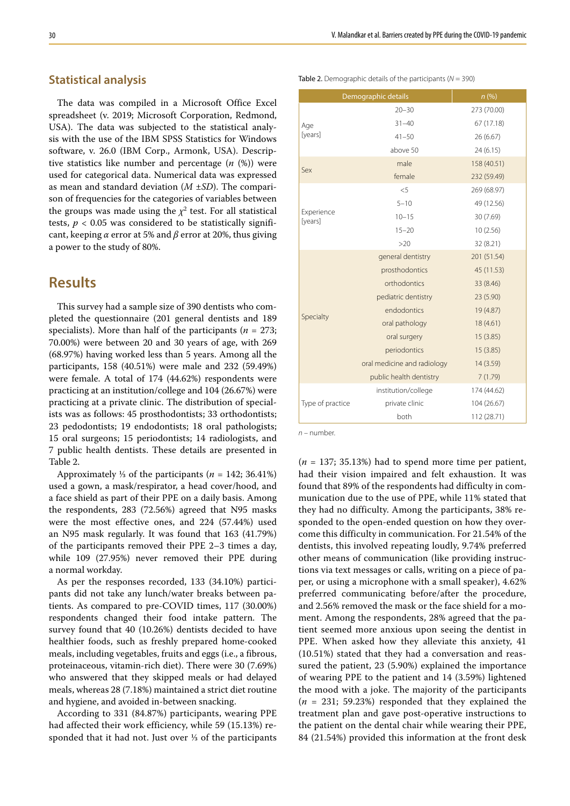## **Statistical analysis**

The data was compiled in a Microsoft Office Excel spreadsheet (v. 2019; Microsoft Corporation, Redmond, USA). The data was subjected to the statistical analysis with the use of the IBM SPSS Statistics for Windows software, v. 26.0 (IBM Corp., Armonk, USA). Descriptive statistics like number and percentage (*n* (%)) were used for categorical data. Numerical data was expressed as mean and standard deviation (*M* ±*SD*). The comparison of frequencies for the categories of variables between the groups was made using the  $\chi^2$  test. For all statistical tests,  $p < 0.05$  was considered to be statistically significant, keeping *α* error at 5% and *β* error at 20%, thus giving a power to the study of 80%.

## **Results**

This survey had a sample size of 390 dentists who completed the questionnaire (201 general dentists and 189 specialists). More than half of the participants ( $n = 273$ ; 70.00%) were between 20 and 30 years of age, with 269 (68.97%) having worked less than 5 years. Among all the participants, 158 (40.51%) were male and 232 (59.49%) were female. A total of 174 (44.62%) respondents were practicing at an institution/college and 104 (26.67%) were practicing at a private clinic. The distribution of specialists was as follows: 45 prosthodontists; 33 orthodontists; 23 pedodontists; 19 endodontists; 18 oral pathologists; 15 oral surgeons; 15 periodontists; 14 radiologists, and 7 public health dentists. These details are presented in Table 2.

Approximately ⅓ of the participants (*n* = 142; 36.41%) used a gown, a mask/respirator, a head cover/hood, and a face shield as part of their PPE on a daily basis. Among the respondents, 283 (72.56%) agreed that N95 masks were the most effective ones, and 224 (57.44%) used an N95 mask regularly. It was found that 163 (41.79%) of the participants removed their PPE 2–3 times a day, while 109 (27.95%) never removed their PPE during a normal workday.

As per the responses recorded, 133 (34.10%) participants did not take any lunch/water breaks between patients. As compared to pre-COVID times, 117 (30.00%) respondents changed their food intake pattern. The survey found that 40 (10.26%) dentists decided to have healthier foods, such as freshly prepared home-cooked meals, including vegetables, fruits and eggs (i.e., a fibrous, proteinaceous, vitamin-rich diet). There were 30 (7.69%) who answered that they skipped meals or had delayed meals, whereas 28 (7.18%) maintained a strict diet routine and hygiene, and avoided in-between snacking.

According to 331 (84.87%) participants, wearing PPE had affected their work efficiency, while 59 (15.13%) responded that it had not. Just over ⅓ of the participants

| Table 2. Demographic details of the participants ( $N = 390$ ) |  |  |
|----------------------------------------------------------------|--|--|
|                                                                |  |  |

|                       |                                                                                                                                                                                                                                                                                                                                                                                                                                                                                                                                                                                                                                                                                                                | n(%)        |
|-----------------------|----------------------------------------------------------------------------------------------------------------------------------------------------------------------------------------------------------------------------------------------------------------------------------------------------------------------------------------------------------------------------------------------------------------------------------------------------------------------------------------------------------------------------------------------------------------------------------------------------------------------------------------------------------------------------------------------------------------|-------------|
|                       | $20 - 30$                                                                                                                                                                                                                                                                                                                                                                                                                                                                                                                                                                                                                                                                                                      | 273 (70.00) |
| Age                   | Demographic details<br>$31 - 40$<br>67 (17.18)<br>$41 - 50$<br>26 (6.67)<br>above 50<br>24(6.15)<br>male<br>158 (40.51)<br>female<br>232 (59.49)<br>< 5<br>269 (68.97)<br>$5 - 10$<br>49 (12.56)<br>$10 - 15$<br>30 (7.69)<br>$15 - 20$<br>10(2.56)<br>>20<br>32 (8.21)<br>general dentistry<br>201 (51.54)<br>prosthodontics<br>45 (11.53)<br>orthodontics<br>33 (8.46)<br>pediatric dentistry<br>23 (5.90)<br>endodontics<br>19 (4.87)<br>oral pathology<br>18(4.61)<br>oral surgery<br>15(3.85)<br>periodontics<br>15(3.85)<br>oral medicine and radiology<br>14 (3.59)<br>public health dentistry<br>7(1.79)<br>institution/college<br>174 (44.62)<br>private clinic<br>104 (26.67)<br>both<br>112 (28.71) |             |
| [years]               |                                                                                                                                                                                                                                                                                                                                                                                                                                                                                                                                                                                                                                                                                                                |             |
|                       |                                                                                                                                                                                                                                                                                                                                                                                                                                                                                                                                                                                                                                                                                                                |             |
| Sex                   |                                                                                                                                                                                                                                                                                                                                                                                                                                                                                                                                                                                                                                                                                                                |             |
|                       |                                                                                                                                                                                                                                                                                                                                                                                                                                                                                                                                                                                                                                                                                                                |             |
|                       |                                                                                                                                                                                                                                                                                                                                                                                                                                                                                                                                                                                                                                                                                                                |             |
|                       |                                                                                                                                                                                                                                                                                                                                                                                                                                                                                                                                                                                                                                                                                                                |             |
| Experience<br>[years] |                                                                                                                                                                                                                                                                                                                                                                                                                                                                                                                                                                                                                                                                                                                |             |
|                       |                                                                                                                                                                                                                                                                                                                                                                                                                                                                                                                                                                                                                                                                                                                |             |
|                       |                                                                                                                                                                                                                                                                                                                                                                                                                                                                                                                                                                                                                                                                                                                |             |
|                       |                                                                                                                                                                                                                                                                                                                                                                                                                                                                                                                                                                                                                                                                                                                |             |
|                       |                                                                                                                                                                                                                                                                                                                                                                                                                                                                                                                                                                                                                                                                                                                |             |
|                       |                                                                                                                                                                                                                                                                                                                                                                                                                                                                                                                                                                                                                                                                                                                |             |
|                       |                                                                                                                                                                                                                                                                                                                                                                                                                                                                                                                                                                                                                                                                                                                |             |
| Specialty             |                                                                                                                                                                                                                                                                                                                                                                                                                                                                                                                                                                                                                                                                                                                |             |
|                       |                                                                                                                                                                                                                                                                                                                                                                                                                                                                                                                                                                                                                                                                                                                |             |
|                       |                                                                                                                                                                                                                                                                                                                                                                                                                                                                                                                                                                                                                                                                                                                |             |
|                       |                                                                                                                                                                                                                                                                                                                                                                                                                                                                                                                                                                                                                                                                                                                |             |
|                       |                                                                                                                                                                                                                                                                                                                                                                                                                                                                                                                                                                                                                                                                                                                |             |
|                       |                                                                                                                                                                                                                                                                                                                                                                                                                                                                                                                                                                                                                                                                                                                |             |
|                       |                                                                                                                                                                                                                                                                                                                                                                                                                                                                                                                                                                                                                                                                                                                |             |
| Type of practice      |                                                                                                                                                                                                                                                                                                                                                                                                                                                                                                                                                                                                                                                                                                                |             |
|                       |                                                                                                                                                                                                                                                                                                                                                                                                                                                                                                                                                                                                                                                                                                                |             |

*n* – number.

(*n* = 137; 35.13%) had to spend more time per patient, had their vision impaired and felt exhaustion. It was found that 89% of the respondents had difficulty in communication due to the use of PPE, while 11% stated that they had no difficulty. Among the participants, 38% responded to the open-ended question on how they overcome this difficulty in communication. For 21.54% of the dentists, this involved repeating loudly, 9.74% preferred other means of communication (like providing instructions via text messages or calls, writing on a piece of paper, or using a microphone with a small speaker), 4.62% preferred communicating before/after the procedure, and 2.56% removed the mask or the face shield for a moment. Among the respondents, 28% agreed that the patient seemed more anxious upon seeing the dentist in PPE. When asked how they alleviate this anxiety, 41 (10.51%) stated that they had a conversation and reassured the patient, 23 (5.90%) explained the importance of wearing PPE to the patient and 14 (3.59%) lightened the mood with a joke. The majority of the participants  $(n = 231; 59.23%)$  responded that they explained the treatment plan and gave post-operative instructions to the patient on the dental chair while wearing their PPE, 84 (21.54%) provided this information at the front desk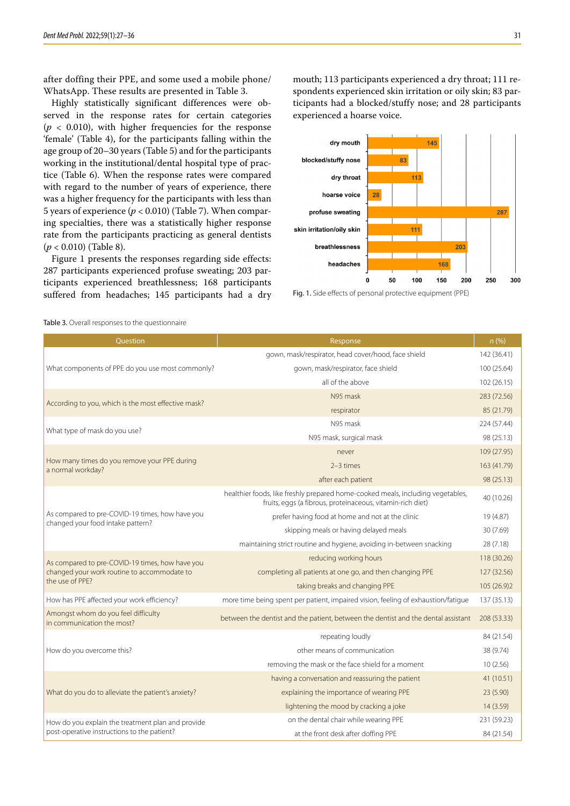after doffing their PPE, and some used a mobile phone/ WhatsApp. These results are presented in Table 3.

Highly statistically significant differences were observed in the response rates for certain categories  $(p < 0.010)$ , with higher frequencies for the response 'female' (Table 4), for the participants falling within the age group of 20–30 years (Table 5) and for the participants working in the institutional/dental hospital type of practice (Table 6). When the response rates were compared with regard to the number of years of experience, there was a higher frequency for the participants with less than 5 years of experience  $(p < 0.010)$  (Table 7). When comparing specialties, there was a statistically higher response rate from the participants practicing as general dentists (*p* < 0.010) (Table 8).

Figure 1 presents the responses regarding side effects: 287 participants experienced profuse sweating; 203 participants experienced breathlessness; 168 participants suffered from headaches; 145 participants had a dry mouth; 113 participants experienced a dry throat; 111 respondents experienced skin irritation or oily skin; 83 participants had a blocked/stuffy nose; and 28 participants experienced a hoarse voice.



Fig. 1. Side effects of personal protective equipment (PPE)

| Question                                                          | Response                                                                                                                                      | n(%)        |
|-------------------------------------------------------------------|-----------------------------------------------------------------------------------------------------------------------------------------------|-------------|
|                                                                   | gown, mask/respirator, head cover/hood, face shield                                                                                           | 142 (36.41) |
| What components of PPE do you use most commonly?                  | gown, mask/respirator, face shield                                                                                                            | 100 (25.64) |
|                                                                   | all of the above                                                                                                                              | 102 (26.15) |
|                                                                   | N95 mask                                                                                                                                      | 283 (72.56) |
| According to you, which is the most effective mask?               | respirator                                                                                                                                    | 85 (21.79)  |
| What type of mask do you use?                                     | N95 mask                                                                                                                                      | 224 (57.44) |
|                                                                   | N95 mask, surgical mask                                                                                                                       | 98 (25.13)  |
|                                                                   | never                                                                                                                                         | 109 (27.95) |
| How many times do you remove your PPE during<br>a normal workday? | $2-3$ times                                                                                                                                   | 163 (41.79) |
|                                                                   | after each patient                                                                                                                            | 98 (25.13)  |
|                                                                   | healthier foods, like freshly prepared home-cooked meals, including vegetables,<br>fruits, eggs (a fibrous, proteinaceous, vitamin-rich diet) | 40 (10.26)  |
| As compared to pre-COVID-19 times, how have you                   | prefer having food at home and not at the clinic                                                                                              | 19 (4.87)   |
| changed your food intake pattern?                                 | skipping meals or having delayed meals                                                                                                        | 30 (7.69)   |
|                                                                   | maintaining strict routine and hygiene, avoiding in-between snacking                                                                          | 28 (7.18)   |
| As compared to pre-COVID-19 times, how have you                   | reducing working hours                                                                                                                        | 118 (30.26) |
| changed your work routine to accommodate to                       | completing all patients at one go, and then changing PPE                                                                                      | 127 (32.56) |
| the use of PPE?                                                   | taking breaks and changing PPE                                                                                                                | 105 (26.9)2 |
| How has PPE affected your work efficiency?                        | more time being spent per patient, impaired vision, feeling of exhaustion/fatigue                                                             | 137 (35.13) |
| Amongst whom do you feel difficulty<br>in communication the most? | between the dentist and the patient, between the dentist and the dental assistant                                                             | 208 (53.33) |
|                                                                   | repeating loudly                                                                                                                              | 84 (21.54)  |
| How do you overcome this?                                         | other means of communication                                                                                                                  | 38 (9.74)   |
|                                                                   | removing the mask or the face shield for a moment                                                                                             | 10(2.56)    |
|                                                                   | having a conversation and reassuring the patient                                                                                              | 41 (10.51)  |
| What do you do to alleviate the patient's anxiety?                | explaining the importance of wearing PPE                                                                                                      | 23 (5.90)   |
|                                                                   | lightening the mood by cracking a joke                                                                                                        | 14(3.59)    |
| How do you explain the treatment plan and provide                 | on the dental chair while wearing PPE                                                                                                         | 231 (59.23) |
| post-operative instructions to the patient?                       | at the front desk after doffing PPE                                                                                                           | 84 (21.54)  |

Table 3. Overall responses to the questionnaire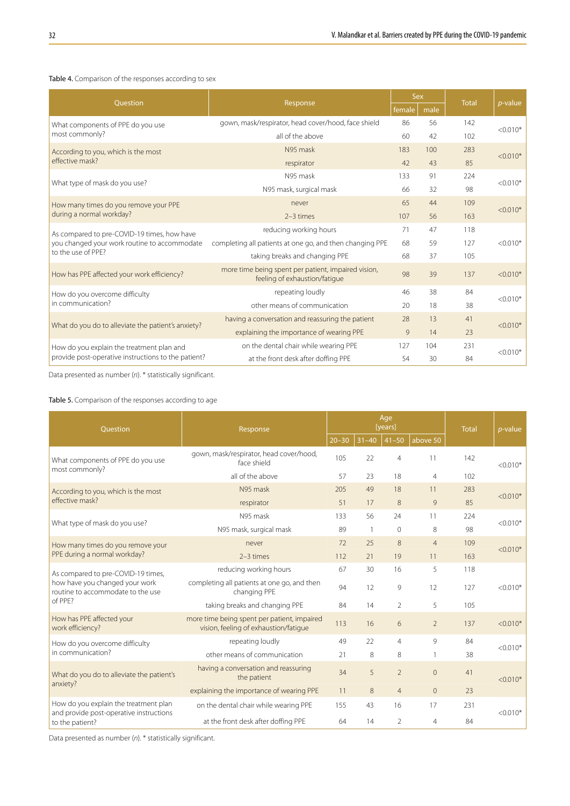#### Table 4. Comparison of the responses according to sex

|                                                     |                                                                                           | Sex    |      |              |            |
|-----------------------------------------------------|-------------------------------------------------------------------------------------------|--------|------|--------------|------------|
| Ouestion                                            | Response                                                                                  | female | male | <b>Total</b> | $p$ -value |
| What components of PPE do you use                   | gown, mask/respirator, head cover/hood, face shield                                       | 86     | 56   | 142          | $< 0.010*$ |
| most commonly?                                      | all of the above                                                                          | 60     | 42   | 102          |            |
| According to you, which is the most                 | N95 mask                                                                                  | 183    | 100  | 283          | $< 0.010*$ |
| effective mask?                                     | respirator                                                                                | 42     | 43   | 85           |            |
| What type of mask do you use?                       | N95 mask                                                                                  | 133    | 91   | 224          | $< 0.010*$ |
|                                                     | N95 mask, surgical mask                                                                   | 66     | 32   | 98           |            |
| How many times do you remove your PPE               | never                                                                                     | 65     | 44   | 109          | $< 0.010*$ |
| during a normal workday?                            | $2-3$ times                                                                               | 107    | 56   | 163          |            |
|                                                     | reducing working hours                                                                    | 71     | 47   | 118          |            |
| you changed your work routine to accommodate        | completing all patients at one go, and then changing PPE                                  | 68     | 59   | 127          | $< 0.010*$ |
| to the use of PPE?                                  | As compared to pre-COVID-19 times, how have<br>taking breaks and changing PPE<br>68<br>37 |        |      |              |            |
| How has PPE affected your work efficiency?          | more time being spent per patient, impaired vision,<br>feeling of exhaustion/fatigue      | 98     | 39   | 137          | $< 0.010*$ |
| How do you overcome difficulty                      | repeating loudly                                                                          | 46     | 38   | 84           | $< 0.010*$ |
| in communication?                                   | other means of communication                                                              | 20     | 18   | 38           |            |
|                                                     | having a conversation and reassuring the patient                                          | 28     | 13   | 41           | $< 0.010*$ |
| What do you do to alleviate the patient's anxiety?  | explaining the importance of wearing PPE                                                  | 14     | 23   |              |            |
| How do you explain the treatment plan and           | on the dental chair while wearing PPE                                                     | 127    | 104  | 231          |            |
| provide post-operative instructions to the patient? | at the front desk after doffing PPE                                                       | 54     | 30   | 84           | $< 0.010*$ |

Data presented as number (*n*). \* statistically significant.

#### Table 5. Comparison of the responses according to age

| Ouestion                                                                         | Response                                                                             |           |                | Age<br>[years] | <b>Total</b>   | $p$ -value |            |  |
|----------------------------------------------------------------------------------|--------------------------------------------------------------------------------------|-----------|----------------|----------------|----------------|------------|------------|--|
|                                                                                  |                                                                                      | $20 - 30$ | $31 - 40$      | $41 - 50$      | above 50       |            |            |  |
| What components of PPE do you use<br>most commonly?                              | gown, mask/respirator, head cover/hood,<br>face shield                               |           | 22             | $\overline{4}$ | 11             | 142        | $< 0.010*$ |  |
|                                                                                  | all of the above                                                                     | 57        | 23             | 18             | $\overline{4}$ | 102        |            |  |
| According to you, which is the most                                              | N95 mask                                                                             | 205       | 49             | 18             | 11             | 283        | $< 0.010*$ |  |
| effective mask?                                                                  | respirator                                                                           | 51        | 17             | 8              | 9              | 85         |            |  |
| What type of mask do you use?                                                    | N95 mask                                                                             | 133       | 56             | 24             | 11             | 224        | $< 0.010*$ |  |
|                                                                                  | N95 mask, surgical mask                                                              | 89        | $\overline{1}$ | $\mathbf{0}$   | 8              | 98         |            |  |
| How many times do you remove your                                                | never                                                                                | 72        | 25             | 8              | $\overline{4}$ | 109        | $< 0.010*$ |  |
| PPE during a normal workday?                                                     | $2-3$ times                                                                          | 112       | 21             | 19             | 11             | 163        |            |  |
| As compared to pre-COVID-19 times,                                               | reducing working hours                                                               | 67        | 30             | 16             | 5              | 118        |            |  |
| how have you changed your work<br>routine to accommodate to the use              | completing all patients at one go, and then<br>changing PPE                          | 94        | 12             | 9              | 12             | 127        | $< 0.010*$ |  |
| of PPF?                                                                          | taking breaks and changing PPE                                                       | 84        | 14             | 2              | 5              | 105        |            |  |
| How has PPE affected your<br>work efficiency?                                    | more time being spent per patient, impaired<br>vision, feeling of exhaustion/fatigue | 113       | 16             | 6              | $\overline{2}$ | 137        | $< 0.010*$ |  |
| How do you overcome difficulty                                                   | repeating loudly                                                                     | 49        | 22             | 4              | 9              | 84         | $< 0.010*$ |  |
| in communication?                                                                | other means of communication                                                         | 21        | 8              | 8              |                | 38         |            |  |
| What do you do to alleviate the patient's<br>anxiety?                            | having a conversation and reassuring<br>the patient                                  | 34        | 5              | $\overline{2}$ | $\overline{0}$ | 41         | $< 0.010*$ |  |
|                                                                                  | explaining the importance of wearing PPE                                             | 11        | 8              | $\overline{4}$ | $\overline{0}$ | 23         |            |  |
| How do you explain the treatment plan<br>and provide post-operative instructions | on the dental chair while wearing PPE                                                | 155       | 43             | 16             | 17             | 231        | $< 0.010*$ |  |
| to the patient?                                                                  | at the front desk after doffing PPE                                                  | 64        | 14             | 2              | 4              | 84         |            |  |

Data presented as number (*n*). \* statistically significant.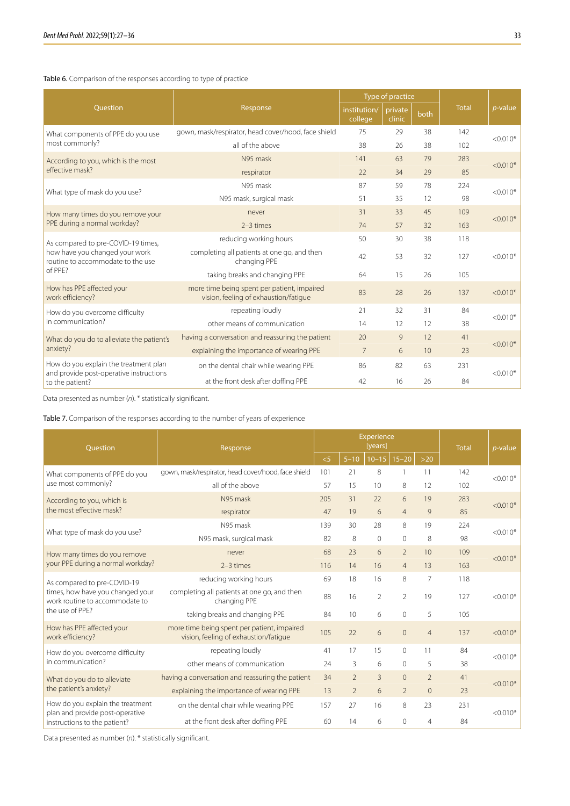#### Table 6. Comparison of the responses according to type of practice

|                                                                                  |                                                                                      |                         | Type of practice  |      |              |            |  |  |  |
|----------------------------------------------------------------------------------|--------------------------------------------------------------------------------------|-------------------------|-------------------|------|--------------|------------|--|--|--|
| Question                                                                         | Response                                                                             | institution/<br>college | private<br>clinic | both | <b>Total</b> | $p$ -value |  |  |  |
| What components of PPE do you use                                                | gown, mask/respirator, head cover/hood, face shield                                  | 75                      | 29                | 38   | 142          | $< 0.010*$ |  |  |  |
| most commonly?                                                                   | all of the above                                                                     | 38                      | 26                | 38   | 102          |            |  |  |  |
| According to you, which is the most                                              | N95 mask                                                                             | 141                     | 63                | 79   | 283          | $< 0.010*$ |  |  |  |
| effective mask?                                                                  | respirator                                                                           | 22                      | 34                | 29   | 85           |            |  |  |  |
|                                                                                  | N95 mask                                                                             | 87                      | 59                | 78   | 224          |            |  |  |  |
| What type of mask do you use?                                                    | N95 mask, surgical mask                                                              | 51                      | 35                | 12   | 98           | $< 0.010*$ |  |  |  |
| How many times do you remove your                                                | never                                                                                | 31                      | 33                | 45   | 109          | $< 0.010*$ |  |  |  |
| PPE during a normal workday?                                                     | $2-3$ times                                                                          | 74                      | 57                | 32   | 163          |            |  |  |  |
| As compared to pre-COVID-19 times,                                               | reducing working hours                                                               | 50                      | 30                | 38   | 118          |            |  |  |  |
| how have you changed your work<br>routine to accommodate to the use              | completing all patients at one go, and then<br>changing PPE                          | 42                      | 53                | 32   | 127          | $< 0.010*$ |  |  |  |
| of PPE?                                                                          | taking breaks and changing PPE                                                       | 64                      | 15                | 26   | 105          |            |  |  |  |
| How has PPE affected your<br>work efficiency?                                    | more time being spent per patient, impaired<br>vision, feeling of exhaustion/fatique | 83                      | 28                | 26   | 137          | $< 0.010*$ |  |  |  |
| How do you overcome difficulty                                                   | repeating loudly                                                                     | 21                      | 32                | 31   | 84           | $< 0.010*$ |  |  |  |
| in communication?                                                                | other means of communication                                                         | 14                      | 12                | 12   | 38           |            |  |  |  |
| What do you do to alleviate the patient's                                        | having a conversation and reassuring the patient                                     | 20                      | 9                 | 12   | 41           | $< 0.010*$ |  |  |  |
| anxiety?                                                                         | explaining the importance of wearing PPE                                             | 7                       | 6                 | 10   | 23           |            |  |  |  |
| How do you explain the treatment plan<br>and provide post-operative instructions | on the dental chair while wearing PPE                                                | 86                      | 82                | 63   | 231          | $< 0.010*$ |  |  |  |
| to the patient?                                                                  | at the front desk after doffing PPE                                                  | 42                      | 16                | 26   | 84           |            |  |  |  |

Data presented as number (*n*). \* statistically significant.

Table 7. Comparison of the responses according to the number of years of experience

| Ouestion                                                            | Response                                                                             |     |                   | Experience<br>[years] | <b>Total</b>             | $p$ -value     |     |            |  |
|---------------------------------------------------------------------|--------------------------------------------------------------------------------------|-----|-------------------|-----------------------|--------------------------|----------------|-----|------------|--|
|                                                                     |                                                                                      |     | $\overline{5-10}$ | $10-15$   15-20       |                          | $>20$          |     |            |  |
| What components of PPE do you                                       | gown, mask/respirator, head cover/hood, face shield                                  | 101 | 21                | 8                     | $\overline{1}$           | 11             | 142 | $< 0.010*$ |  |
| use most commonly?                                                  | all of the above                                                                     | 57  | 15                | 10                    | 8                        | 12             | 102 |            |  |
| According to you, which is                                          | N95 mask                                                                             | 205 | 31                | 22                    | 6                        | 19             | 283 | $< 0.010*$ |  |
| the most effective mask?                                            | respirator                                                                           | 47  | 19                | 6                     | $\overline{4}$           | 9              | 85  |            |  |
| What type of mask do you use?                                       | N95 mask                                                                             | 139 | 30                | 28                    | 8                        | 19             | 224 | $< 0.010*$ |  |
|                                                                     | N95 mask, surgical mask                                                              | 82  | 8                 | $\Omega$              | $\Omega$                 | 8              | 98  |            |  |
| How many times do you remove                                        | never                                                                                | 68  | 23                | 6                     | $\overline{\phantom{0}}$ | 10             | 109 | $< 0.010*$ |  |
| your PPE during a normal workday?                                   | $2-3$ times                                                                          | 116 | 14                | 16                    | $\overline{4}$           | 13             | 163 |            |  |
| As compared to pre-COVID-19                                         | reducing working hours                                                               | 69  | 18                | 16                    | 8                        | $\overline{7}$ | 118 |            |  |
| times, how have you changed your<br>work routine to accommodate to  | completing all patients at one go, and then<br>changing PPE                          | 88  | 16                | $\overline{2}$        | $\overline{2}$           | 19             | 127 | $< 0.010*$ |  |
| the use of PPE?                                                     | taking breaks and changing PPE                                                       | 84  | 10                | 6                     | $\Omega$                 | 5              | 105 |            |  |
| How has PPE affected your<br>work efficiency?                       | more time being spent per patient, impaired<br>vision, feeling of exhaustion/fatique | 105 | 22                | 6                     | $\overline{0}$           | $\overline{4}$ | 137 | $< 0.010*$ |  |
| How do you overcome difficulty                                      | repeating loudly                                                                     | 41  | 17                | 15                    | $\overline{0}$           | 11             | 84  | $< 0.010*$ |  |
| in communication?                                                   | other means of communication                                                         | 24  | 3                 | 6                     | $\mathbf{0}$             | 5              | 38  |            |  |
| What do you do to alleviate                                         | having a conversation and reassuring the patient                                     | 34  | $\mathfrak{D}$    | 3                     | $\Omega$                 | $\mathfrak{D}$ | 41  | $< 0.010*$ |  |
| the patient's anxiety?                                              | explaining the importance of wearing PPE                                             | 13  | $\overline{2}$    | 6                     | $\overline{2}$           | $\Omega$       | 23  |            |  |
| How do you explain the treatment<br>plan and provide post-operative | on the dental chair while wearing PPE                                                | 157 | 27                | 16                    | 8                        | 23             | 231 | $< 0.010*$ |  |
| instructions to the patient?                                        | at the front desk after doffing PPE                                                  | 60  | 14                | 6                     | $\Omega$                 | $\overline{4}$ | 84  |            |  |

Data presented as number (*n*). \* statistically significant.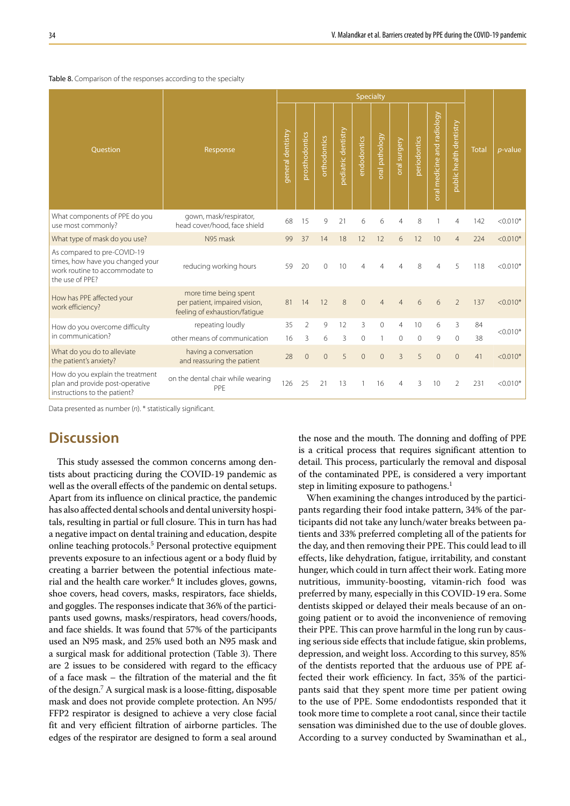|                                                                                                                      |                                                                                         | Specialty         |                |                |                     |                |                          |                |              |                              |                         |              |            |
|----------------------------------------------------------------------------------------------------------------------|-----------------------------------------------------------------------------------------|-------------------|----------------|----------------|---------------------|----------------|--------------------------|----------------|--------------|------------------------------|-------------------------|--------------|------------|
| <b>Ouestion</b>                                                                                                      | Response                                                                                | general dentistry | prosthodontics | orthodontics   | pediatric dentistry | endodontics    | oral pathology           | oral surgery   | periodontics | medicine and radiology<br> a | public health dentistry | <b>Total</b> | $p$ -value |
| What components of PPE do you<br>use most commonly?                                                                  | gown, mask/respirator,<br>head cover/hood, face shield                                  | 68                | 15             | 9              | 21                  | 6              | 6                        | 4              | 8            |                              | 4                       | 142          | $< 0.010*$ |
| What type of mask do you use?                                                                                        | N95 mask                                                                                | 99                | 37             | 14             | 18                  | 12             | 12                       | 6              | 12           | 10                           | $\overline{4}$          | 224          | $< 0.010*$ |
| As compared to pre-COVID-19<br>times, how have you changed your<br>work routine to accommodate to<br>the use of PPE? | reducing working hours                                                                  | 59                | 20             | $\Omega$       | 10                  |                | Δ                        | Δ              | 8            | 4                            | 5                       | 118          | $< 0.010*$ |
| How has PPE affected your<br>work efficiency?                                                                        | more time being spent<br>per patient, impaired vision,<br>feeling of exhaustion/fatique | 81                | 14             | 12             | 8                   | $\Omega$       | $\overline{\mathcal{A}}$ | Δ              | 6            | 6                            | $\mathfrak{D}$          | 137          | $< 0.010*$ |
| How do you overcome difficulty                                                                                       | repeating loudly                                                                        | 35                | $\mathfrak{D}$ | 9              | 12                  | 3              | $\Omega$                 | 4              | 10           | 6                            | 3                       | 84           | $< 0.010*$ |
| in communication?                                                                                                    | other means of communication                                                            | 16                | 3              | 6              | 3                   | $\Omega$       | $\mathbf{1}$             | $\Omega$       | 0            | 9                            | $\mathbf 0$             | 38           |            |
| What do you do to alleviate<br>the patient's anxiety?                                                                | having a conversation<br>and reassuring the patient                                     | 28                | $\mathbf{0}$   | $\overline{0}$ | 5                   | $\overline{0}$ | $\overline{0}$           | $\overline{3}$ | 5            | $\Omega$                     | $\overline{0}$          | 41           | $< 0.010*$ |
| How do you explain the treatment<br>plan and provide post-operative<br>instructions to the patient?                  | on the dental chair while wearing<br>PPF                                                | 126               | 25             | 21             | 13                  |                | 16                       | 4              | 3            | 10                           | 2                       | 231          | $< 0.010*$ |

#### Table 8. Comparison of the responses according to the specialty

Data presented as number (*n*). \* statistically significant.

## **Discussion**

This study assessed the common concerns among dentists about practicing during the COVID-19 pandemic as well as the overall effects of the pandemic on dental setups. Apart from its influence on clinical practice, the pandemic has also affected dental schools and dental university hospitals, resulting in partial or full closure. This in turn has had a negative impact on dental training and education, despite online teaching protocols.5 Personal protective equipment prevents exposure to an infectious agent or a body fluid by creating a barrier between the potential infectious material and the health care worker.6 It includes gloves, gowns, shoe covers, head covers, masks, respirators, face shields, and goggles. The responses indicate that 36% of the participants used gowns, masks/respirators, head covers/hoods, and face shields. It was found that 57% of the participants used an N95 mask, and 25% used both an N95 mask and a surgical mask for additional protection (Table 3). There are 2 issues to be considered with regard to the efficacy of a face mask – the filtration of the material and the fit of the design.7 A surgical mask is a loose-fitting, disposable mask and does not provide complete protection. An N95/ FFP2 respirator is designed to achieve a very close facial fit and very efficient filtration of airborne particles. The edges of the respirator are designed to form a seal around

the nose and the mouth. The donning and doffing of PPE is a critical process that requires significant attention to detail. This process, particularly the removal and disposal of the contaminated PPE, is considered a very important step in limiting exposure to pathogens.<sup>1</sup>

When examining the changes introduced by the participants regarding their food intake pattern, 34% of the participants did not take any lunch/water breaks between patients and 33% preferred completing all of the patients for the day, and then removing their PPE. This could lead to ill effects, like dehydration, fatigue, irritability, and constant hunger, which could in turn affect their work. Eating more nutritious, immunity-boosting, vitamin-rich food was preferred by many, especially in this COVID-19 era. Some dentists skipped or delayed their meals because of an ongoing patient or to avoid the inconvenience of removing their PPE. This can prove harmful in the long run by causing serious side effects that include fatigue, skin problems, depression, and weight loss. According to this survey, 85% of the dentists reported that the arduous use of PPE affected their work efficiency. In fact, 35% of the participants said that they spent more time per patient owing to the use of PPE. Some endodontists responded that it took more time to complete a root canal, since their tactile sensation was diminished due to the use of double gloves. According to a survey conducted by Swaminathan et al.,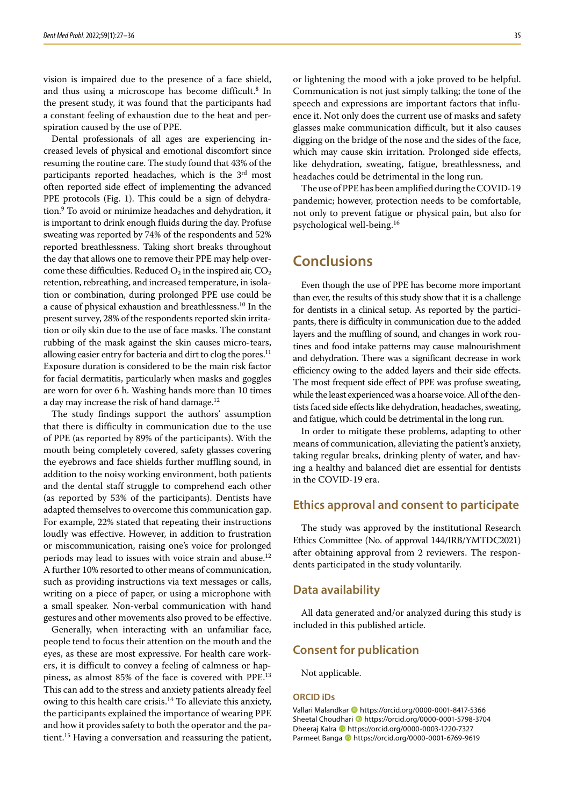vision is impaired due to the presence of a face shield, and thus using a microscope has become difficult.<sup>8</sup> In the present study, it was found that the participants had a constant feeling of exhaustion due to the heat and perspiration caused by the use of PPE.

Dental professionals of all ages are experiencing increased levels of physical and emotional discomfort since resuming the routine care. The study found that 43% of the participants reported headaches, which is the 3<sup>rd</sup> most often reported side effect of implementing the advanced PPE protocols (Fig. 1). This could be a sign of dehydration.9 To avoid or minimize headaches and dehydration, it is important to drink enough fluids during the day. Profuse sweating was reported by 74% of the respondents and 52% reported breathlessness. Taking short breaks throughout the day that allows one to remove their PPE may help overcome these difficulties. Reduced  $O_2$  in the inspired air,  $CO_2$ retention, rebreathing, and increased temperature, in isolation or combination, during prolonged PPE use could be a cause of physical exhaustion and breathlessness.<sup>10</sup> In the present survey, 28% of the respondents reported skin irritation or oily skin due to the use of face masks. The constant rubbing of the mask against the skin causes micro-tears, allowing easier entry for bacteria and dirt to clog the pores.<sup>11</sup> Exposure duration is considered to be the main risk factor for facial dermatitis, particularly when masks and goggles are worn for over 6 h. Washing hands more than 10 times a day may increase the risk of hand damage.<sup>12</sup>

The study findings support the authors' assumption that there is difficulty in communication due to the use of PPE (as reported by 89% of the participants). With the mouth being completely covered, safety glasses covering the eyebrows and face shields further muffling sound, in addition to the noisy working environment, both patients and the dental staff struggle to comprehend each other (as reported by 53% of the participants). Dentists have adapted themselves to overcome this communication gap. For example, 22% stated that repeating their instructions loudly was effective. However, in addition to frustration or miscommunication, raising one's voice for prolonged periods may lead to issues with voice strain and abuse.<sup>12</sup> A further 10% resorted to other means of communication, such as providing instructions via text messages or calls, writing on a piece of paper, or using a microphone with a small speaker. Non-verbal communication with hand gestures and other movements also proved to be effective.

Generally, when interacting with an unfamiliar face, people tend to focus their attention on the mouth and the eyes, as these are most expressive. For health care workers, it is difficult to convey a feeling of calmness or happiness, as almost 85% of the face is covered with PPE.<sup>13</sup> This can add to the stress and anxiety patients already feel owing to this health care crisis. $14$  To alleviate this anxiety, the participants explained the importance of wearing PPE and how it provides safety to both the operator and the patient.15 Having a conversation and reassuring the patient, or lightening the mood with a joke proved to be helpful. Communication is not just simply talking; the tone of the speech and expressions are important factors that influence it. Not only does the current use of masks and safety glasses make communication difficult, but it also causes digging on the bridge of the nose and the sides of the face, which may cause skin irritation. Prolonged side effects, like dehydration, sweating, fatigue, breathlessness, and headaches could be detrimental in the long run.

The use of PPE has been amplified during the COVID-19 pandemic; however, protection needs to be comfortable, not only to prevent fatigue or physical pain, but also for psychological well-being.<sup>16</sup>

## **Conclusions**

Even though the use of PPE has become more important than ever, the results of this study show that it is a challenge for dentists in a clinical setup. As reported by the participants, there is difficulty in communication due to the added layers and the muffling of sound, and changes in work routines and food intake patterns may cause malnourishment and dehydration. There was a significant decrease in work efficiency owing to the added layers and their side effects. The most frequent side effect of PPE was profuse sweating, while the least experienced was a hoarse voice. All of the dentists faced side effects like dehydration, headaches, sweating, and fatigue, which could be detrimental in the long run.

In order to mitigate these problems, adapting to other means of communication, alleviating the patient's anxiety, taking regular breaks, drinking plenty of water, and having a healthy and balanced diet are essential for dentists in the COVID-19 era.

### **Ethics approval and consent to participate**

The study was approved by the institutional Research Ethics Committee (No. of approval 144/IRB/YMTDC2021) after obtaining approval from 2 reviewers. The respondents participated in the study voluntarily.

#### **Data availability**

All data generated and/or analyzed during this study is included in this published article.

## **Consent for publication**

Not applicable.

#### **ORCID iDs**

Vallari Malandkar **b** https://orcid.org/0000-0001-8417-5366 Sheetal Choudhari **I**nttps://orcid.org/0000-0001-5798-3704 Dheeraj Kalra https://orcid.org/0000-0003-1220-7327 Parmeet Banga **D** https://orcid.org/0000-0001-6769-9619